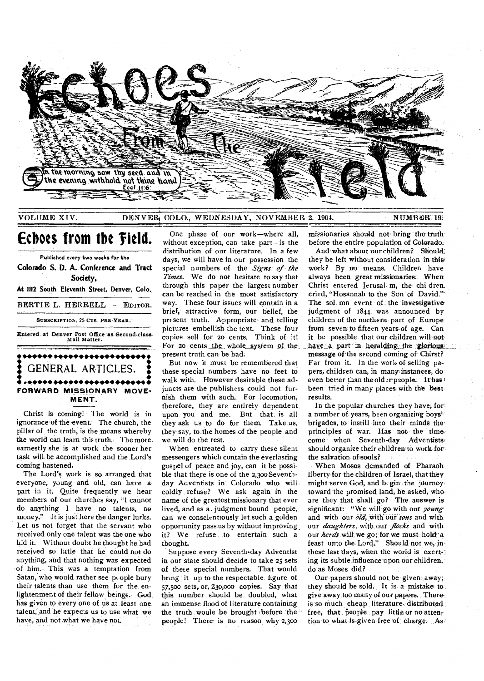

VOLUME XIV. DENVER<sub>i</sub> COLO., WEDNESDAY, NOVEMBER 2. 1904. NUMBER 19:

# **Echoes from the 'Field.**

Published every two weeks for the. **Colorado S. D. A. Conference and Tract Society. At 1112 South Eleventh Street, Denver, Colo.**  BERTIE L. HERRELL - EDITOR. SUBSCRIPTION, 25 CTS. PER•YEAR. **Mitered,** at Denver Post Office as-Second-class Mail Matter.



Christ is coming! The world is in ignorance of the event. The church, the pillar of the truth, is the means whereby the world can learn this truth. The more earnestly she is at work the sooner her task will be accomplished and the Lord's coming hastened.

The Lord's work is so arranged that everyone, young and old, can have apart in it. Quite frequently we hear members of our churches say, "I cannot do anything I have no talents, no money," It is just here the danger lurks. Let us not forget that the servant who received only one talent was the one who h:d it. Without doubt he thought he had received so little that he could not do anything, and that nothing was expected of him. This was a temptation from Satan, who would rather see ptople bury their talents than use them for the enlightenment of their fellow beings. God has given to every one of us at least one talent, and he expects us to use what we have, and not what we have not.

One phase of our work—where all, without exception, can take part- is the distribution of our literature. In a few days, we will have, in our possession the special numbers of the *Signs of the Times.* We do not hesitate to say that through this paper the largest number can be reached in the most satisfactory way. These four issues will contain in a brief, attractive form, our belief, the present truth. Appropriate and telling pictures embellish the text. These four copies sell for 20 cents. Think of it! For 20 cents the whole system of the present truth can be had.

But now it must be remembered that these special numbers have no feet to walk with. However desirable these adjuncts are the publishers could not furnish them with such. For locomotion, therefore, they are entirely dependent upon you and me. But that is all they ask us to do for them. Take us, they say, to-the homes of the people and we will do the rest.

When entreated to carry these silent messengers which contain the everlasting gospel of peace and joy, can it be possible that there is one of the 2,300 Seventhday Auventists in Colorado who will coldly , refuse? We ask again in the name of the greatest missionary that ever lived, and as a judgment bound people, can we conscientiously let such a golden opportunity pass us by without improving it? We refuse to entertain such a thought.

Suppose every Seventh-day Adventist in our state should decide to take 25 sets of thee special numbers. That would bring it up to the respectable figure of 57,500 sets, or, 230,000 copies. Say that this number should be doubled, what an immense flood of literature containing the truth woule be brought -before the people! There- is no reason why 2,300

missionaries should not bring the truth before the entire population of. Colorado.

And what about our children? Should they be left without consideration in this. work? By no means. Children have always been great missionaries. When Christ entered Jerusal. m, the chi dren, cried, "Hosannah to the Son of David." The solomn event of the investigative judgment of 1844 was announced by children of the northern part of Europe from seven to fifteen years of age. Can it be possible that our children will not have a part in heralding the glorious message of the second coming of Chirst? Far from it. In the work of selling papers, children can, in many instances, do even better than the old 'r people. Ithas been tried in many places with the best results.

In the popular churches they have, for a number of years, been organizing boys' brigades, to instill into their minds the principles of war. Has not the time come when Seventh-day Adventists should organize their children to work for the salvation of souls?

When Moses demanded of Pharaoh liberty for the children of Israel, that they might serve God, and begin the journey. toward the promised land, he asked, who are they that shall go? The answer is significant: "We will go with our *young*  and with our *ail,* with our *sons* and with our *daughters,* with our *flocks* and with our *herds* will we go; for we must hold a feast unto the Lord." Should not we, in these last days, when the world is exerting its subtle influence upon our children, do as Moses did?

Our papers should not be given away; they should be sold. It is a mistake to give away, too many of our papers. There is so much cheap literature, distributed free, that people pay little or no attention to what is given free of charge. As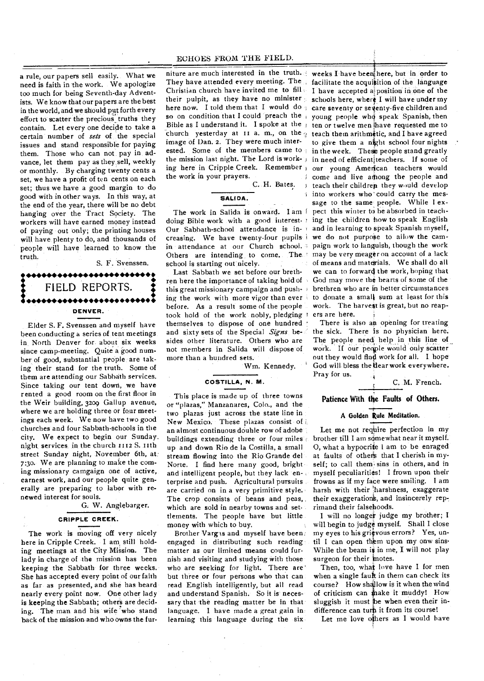a rule, our papers sell easily. What we need is faith in the work. We apologize too much for being Seventh-day Adventists. We know that our papers are the best in the world, and we should put forth every effort to scatter the precious truths they contain. Let every one decide to take a certain number of *sets* of the special issues and stand responsible for paying them. Those who can not pay in advance, let them pay as they sell, weekly or monthly. By charging twenty cents a set, we have a profit of ten cents on each set; thus we have a good margin to do good with in other ways. In this way, at the end of the year, there will be no debt hanging over the Tract Society. The workers will have earned money instead of paying out only; the printing houses will have plenty to do, and thousands of people will have learned to know the truth.

# S. F. Svenssen. • •••••••••••••••••• •••••• • • FIELD REPORTS. .• • **i•••••• •••••• •••••• •••••• • DENVER.**

Elder S. F. Svenssen and myself have been conducting a series of tent meetings in North Denver for about six weeks since camp-meeting. Quite a good number of good, substantial people are taking their stand for the truth. Some of them are attending our Sabbath services. Since taking our tent down, we have rented a good room on the first floor in the Weir building, 3209 Gallup avenue, where we are holding three or four meetings each week. We now have two good churches and four Sabbath-schools in the city. We expect to begin our Sunday. night, services in the church 1112 **S.** ith street Sunday night, November 6th, at 7:30. We are planning to make the coming missionary camgaign one of active, earnest work, and our people quite generally are preparing to labor with renewed interest for souls.

### G. W. Anglebarger.

#### **CRIPPLE CREEK.**

The work is moving off very nicely here in Cripple Creek. I am still holding meetings at the City Mission. The lady in charge of the mission has been keeping the Sabbath for three weeks. She has accepted every point of our faith as far as presented, and she has heard nearly every point now. One other lady is keeping the Sabbath; others are deciding. The man and his wife who stand back of the mission and who owns the fur-

They have attended every meeting. The facilitate the acquisition of the language Christian church have invited me to fill . I have accepted a position in one of the their pulpit, as they have no minister schools here, where I will have under my here now. I told them that I would do; care seventy or seventy-five children and so on condition that I could preach the *i* young people who speak Spanish, then Bible as I understand it. I spoke at the  $\frac{1}{1}$  ten or twelve men have requested me to church yesterday at II a. m., on the  $q$  teach them arithmetic, and I have agreed image of Dan. 2. They were much interested. Some of the members came to in the week. These people stand greatly the mission last night. The Lord is work-in need of efficientjteachers. if some of ing here in Cripple Creek. Remember our young American teachers would the work in your prayers.

C. H. Bates. **SALIDA.** 

doing Bible work with a good interest. ing the children how to speak English Our Sabbath-school attendance is increasing. We have twenty-four pupils i we do not purpose to allow the camin attendance at our Church school. Others are intending to come. The school is starting out nicely.

Last Sabbath we set before our brethren here the importance of taking hold of this great missionary campaign and pushing the work with more vigor than ever before. As a result some of the people took hold of the work nobly, pledging themselves to dispose of one hundred and sixty sets of the Special *Signs* besides other literature. Others who are not members in Salida will dispose of more than a hundred sets.

Wm. Kennedy.

#### **COSTILLA, N. M.**

This place is made up of three towns or "plazas," Manzanares, Colo., and the two plazas just across the state line in New Mexico. These plazas consist of an almost continuous double row of adobe buildings extending three or four miles up and down Rio de la Costilla, a small stream flowing into the Rio Grande del Norte. I find here many good, bright and intelligent people, but they lack en-, terprise and push. Agricultural pursuits are carried on in a very primitive style. The crop consists of beans and peas, which are sold in nearby towns and settlements. The people have but little money with which to buy.

Brother Vargas and myself have been engaged in distributing such reading matter as our limited means could furnish and visiting and studying with those who are seeking for light. There are but three or four persons who that can read English intelligently, but all read and understand Spanish. So it is necessary that the reading matter be in that language. I have made a great gain in learning this language during the six

niture are much interested in the truth. weeks I have been here, but in order to The work in Salida is onward. I am I pect this winter to be absorbed in teachto give them a night school four nights I come and live among the people and  $t$  teach their children they would develop i into workers who could carry the message to the same people. While I exand in learning to speak Spanish myself, paign work to languish, though the work may be very meager on account of a lack of means and materials. We shall do all we can to forward the work, hoping that God may move the hearts of some of the brethren who are in better circumstances to donate a small sum at least for this work. The harvest is great, but no reapers are here.

There is also an opening for treating the sick. There is no physician here. The people need help in this line of work. If our people would only scatter out they would find work for all. I hope God will bless the dear work everywhere. Pray for us.

C. M. French.

# **Patience With the Faults of Others.**

#### **A Golden Rule Meditation.**

Let me not require perfection in my brother till I am somewhat near it myself. 0, what a hypocrite I am to be enraged at faults of others that I cherish in myself; to call them sins in others, and in myself peculiarities! I frown upon their frowns as if my face were smiling. I am harsh with their 'harshness, exaggerate their exaggerations, and insincerely reprimand their falsehoods.

I will no longer judge my brother; I will begin to judge myself. Shall I close my eyes to his grievous errors? Yes, until I can open them upon my onw sins-While the beam is in me, I will not play surgeon for their motes.

Then, too, what love have I for men when a single fault in them can check its course? How shallow is it when the wind of criticism can make it muddy! How sluggish it must be when even their indifference can turn it from its course!

Let me love others as I would have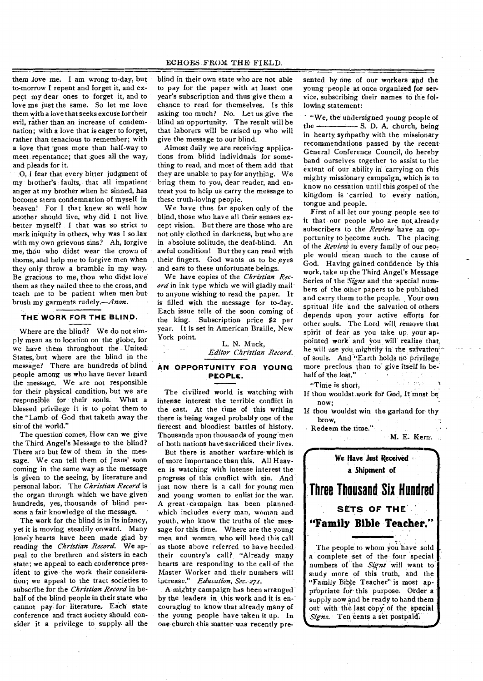#### ECHOES FROM THE FIELD.

them love me. I am wrong to-day, but to-morrow I repent and forget it, and expect my dear ones to forget it, and to love me just the same. So let me love them with a love that seeks excuse for their evil, rather than an increase of condemnation; with a love that is eager to forget, rather than tenacious to remember; with a love that 'goes more than half-way to meet repentance; that goes all the way, and pleads for it.

0, I fear that every bitter judgment of my brother's faults, that all impatient anger at my brother when he sinned, has become stern condemnation of myself in heaven! For I that knew so well how another should live, why did I not live better myself? I that was so strict to mark iniquity in others, why was I so lax with my own grievous sins? Ah, forgive me, thou who didst wear the crown of thorns, and help me to forgive men when they only throw a bramble in my way. Be gracious to me, thou who didst love' them as they nailed thee to the cross, and teach me to be patient when men but brush my garments rudely.—Anon.

## **THE WORK FOR THE BLIND.**

Where are the blind? We do not simply mean as to location on the globe, for we have them throughout the United States, but where are the blind in the message? There are hundreds of blind people among us who have never heard the message. We are not responsible for their physical condition, but we are responsible for their souls. What a blessed privilege it is to point them to the "Lamb of God that taketh away the sin of the world."

The question comes, How can we give the Third Angel's Message to the blind? There are but few of them in the message. We can tell them of Jesus' soon coming in the same way as the message is given to the seeing, by literature and personal labor. The *Christian Record* is the organ through which we have given hundreds, yes, thousands of blind persons a fair knowledge of the message.

The work for the blind is in its infancy, yet it is moving steadily onward. Many lonely hearts have been made glad by reading the *Christian Record.* We appeal to the brethren and sisters in each state; we appeal to each conference president to give the work their consideration; we appeal to the tract societies to subscribe for the *Christian Record* in behalf of the blind people in their state who cannot pay for literature. Each state conference and tract society should consider it a privilege to supply all the blind in their own state who are not able to pay for the paper with at least one year's subscription and thus give them a chance to read for themselves. Is this asking too much? No. Let us give the blind an opportunity. The result will be that laborers will be raised up who will give the message to our blind.

Almost daily we are receiving applications from blind individuals for something to read, and most of them add that they are unable to pay for anything. We bring them to you, dear reader, and entreat you to help us carry the message to these truth-loving people.

We have thus far spoken only of the blind, those who have all their senses except vision. But there are those who are not only clothed in darkness, but who are in absolute solitude, the deaf-blind. An awful condition! But they can read with their fingers. God wants us to be eyes and ears to these unfortunate beings.

We have copies of the *Christian Record* in ink type which we will gladly mail to anyone wishing to read the paper. It is filled with the message for to-day. Each issue tells of the soon coming of the king. Subscription price \$2 per year. It is set in American Braille, New York point.

L. N. Muck, *Editor Christian Record.* 

# **AN OPPORTUNITY FOR YOUNG PEOPLE.**

The civilized world is watching with intense interest the terrible conflict in the east. At the time of this writing there is being waged probably one of the fiercest and bloodiest battles of history. Thousands upon thousands of young men of both nations have sacrificed their lives.

But there is another warfare' which is of more importance than this. All Heaven is watching with intense interest the progress of this conflict with sin. And just now there is a call for young men and young women to enlist for the war. A great • campaign has been plannedwhich includes every man, woman and youth, who know the truths of the message for this time. Where are the young men and women who will heed this call as those above referred to have heeded their country's call?, "Already many hearts are responding to the call of the Master Worker and their numbers will increase." *Education, Sec. 27r.* 

A mighty campaign has been arranged by the leaders in this work and it is en- couraging to know that already many of the young people have taken it up. In one church this matter was recently presented by one of our workers and the young people at once organized for service, subscribing their names to the following statement:

"We, the undersigned young people of the - S. D. A. church, being in hearty sympathy with the missionary recommendations passed by the recent General Conference Council, do hereby band ourselves together to assist to the extent of our ability in carrying on this mighty missionary campaign, which is to know no cessation until this gospel of the kingdom is 'carried to every nation, tongue and people.

First of all let our young people see to it that our people who are not already subscribers **to** the *Review* have an opportunity to become such. The placing of the *Review* in every family of our people would mean much to the cause of God. Having gained confidence by this work, take up the Third Angel's Message Series of the *Signs* and the special numbers of the other papers to be published and carry them to the people. Your own spritual life and the salvation of others depends upon your active efforts for other souls. The Lord will, remove that spirit of fear as you take up, your appointed work and you will realize that, he will use you mightily in the salvationof souls. And "Earth holds no privilege more precious than to' give itself in behalf of the lost."

"Time is short,

If thou wouldst work for God, It must be now;

If thou wouldst win the garland for thy brow,

Redeem the time."  $\mathcal{A}=\mathcal{A}^{\dagger}$  . For  $\mathcal{A}$ 

M. E. Kern.

man Die Steel

**We Have Just Received a Shipment of Three Thousand Six Hundred SETS OF THE "Family Bible Teacher."** 

The people to whom you have sold a complete set of the four special numbers of the *Signs* will want to study more of this truth, and the "Family Bible Teacher" is most appropriate for this purpose. Order a supply now and be ready to **hand them out with the last copy of the special**  *Signs.* **Ten cents a** set postpaid: